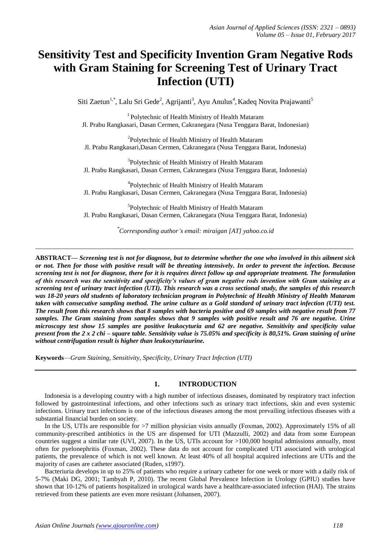# **Sensitivity Test and Specificity Invention Gram Negative Rods with Gram Staining for Screening Test of Urinary Tract Infection (UTI)**

Siti Zaetun<sup>1,\*</sup>, Lalu Sri Gede<sup>2</sup>, Agrijanti<sup>3</sup>, Ayu Anulus<sup>4</sup>, Kadeq Novita Prajawanti<sup>5</sup>

<sup>1</sup>Polytechnic of Health Ministry of Health Mataram Jl. Prabu Rangkasari, Dasan Cermen, Cakranegara (Nusa Tenggara Barat, Indonesian)

<sup>2</sup>Polytechnic of Health Ministry of Health Mataram Jl. Prabu Rangkasari,Dasan Cermen, Cakranegara (Nusa Tenggara Barat, Indonesia)

<sup>3</sup>Polytechnic of Health Ministry of Health Mataram Jl. Prabu Rangkasari, Dasan Cermen, Cakranegara (Nusa Tenggara Barat, Indonesia)

<sup>4</sup>Polytechnic of Health Ministry of Health Mataram Jl. Prabu Rangkasari, Dasan Cermen, Cakranegara (Nusa Tenggara Barat, Indonesia)

<sup>5</sup>Polytechnic of Health Ministry of Health Mataram Jl. Prabu Rangkasari, Dasan Cermen, Cakranegara (Nusa Tenggara Barat, Indonesia)

*\* Corresponding author's email: miraigan [AT] yahoo.co.id*

*\_\_\_\_\_\_\_\_\_\_\_\_\_\_\_\_\_\_\_\_\_\_\_\_\_\_\_\_\_\_\_\_\_\_\_\_\_\_\_\_\_\_\_\_\_\_\_\_\_\_\_\_\_\_\_\_\_\_\_\_\_\_\_\_\_\_\_\_\_\_\_\_\_\_\_\_\_\_\_\_\_\_\_\_\_\_\_\_\_\_\_\_\_\_\_\_\_*

**ABSTRACT—** *Screening test is not for diagnose, but to determine whether the one who involved in this ailment sick or not. Then for those with positive result will be threating intensively. In order to prevent the infection. Because screening test is not for diagnose, there for it is requires direct follow up and appropriate treatment. The formulation of this research was the sensitivity and specificity's values of gram negative rods invention with Gram staining as a screening test of urinary tract infection (UTI). This research was a cross sectional study, the samples of this research was 18-20 years old students of laboratory technician program in Polytechnic of Health Ministry of Health Mataram taken with consecutive sampling method. The urine culture as a Gold standard of urinary tract infection (UTI) test. The result from this research shows that 8 samples with bacteria positive and 69 samples with negative result from 77 samples. The Gram staining from samples shows that 9 samples with positive result and 76 are negative. Urine microscopy test show 15 samples are positive leukocyturia and 62 are negative. Sensitivity and specificity value present from the 2 x 2 chi – square table. Sensitivity value is 75.05% and specificity is 80,51%. Gram staining of urine without centrifugation result is higher than leukocyturiaurine.* 

**Keywords**—*Gram Staining, Sensitivity, Specificity, Urinary Tract Infection (UTI)*

# **1. INTRODUCTION**

Indonesia is a developing country with a high number of infectious diseases, dominated by respiratory tract infection followed by gastrointestinal infections, and other infections such as urinary tract infections, skin and even systemic infections. Urinary tract infections is one of the infectious diseases among the most prevailing infectious diseases with a substantial financial burden on society.

In the US, UTIs are responsible for >7 million physician visits annually (Foxman, 2002). Approximately 15% of all community-prescribed antibiotics in the US are dispensed for UTI (Mazzulli, 2002) and data from some European countries suggest a similar rate (UVI, 2007). In the US, UTIs account for  $>100,000$  hospital admissions annually, most often for pyelonephritis (Foxman, 2002). These data do not account for complicated UTI associated with urological patients, the prevalence of which is not well known. At least 40% of all hospital acquired infections are UTIs and the majority of cases are catheter associated (Ruden, s1997).

Bacteriuria develops in up to 25% of patients who require a urinary catheter for one week or more with a daily risk of 5-7% (Maki DG, 2001; Tambyah P, 2010). The recent Global Prevalence Infection in Urology (GPIU) studies have shown that 10-12% of patients hospitalized in urological wards have a healthcare-associated infection (HAI). The strains retrieved from these patients are even more resistant (Johansen, 2007).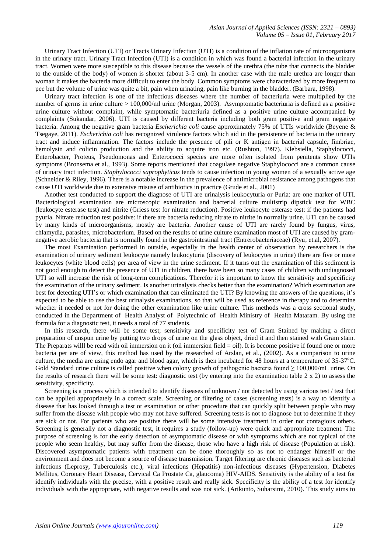Urinary Tract Infection (UTI) or Tracts Urinary Infection (UTI) is a condition of the inflation rate of microorganisms in the urinary tract. Urinary Tract Infection (UTI) is a condition in which was found a bacterial infection in the urinary tract. Women were more susceptible to this disease because the vessels of the urethra (the tube that connects the bladder to the outside of the body) of women is shorter (about 3-5 cm). In another case with the male urethra are longer than woman it makes the bacteria more difficult to enter the body. Common symptoms were characterized by more frequent to pee but the volume of urine was quite a bit, pain when urinating, pain like burning in the bladder. (Barbara, 1998).

Urinary tract infection is one of the infectious diseases where the number of bacteriuria were multiplied by the number of germs in urine culture > 100,000/ml urine (Morgan, 2003). Asymptomatic bacteriuria is defined as a positive urine culture without complaint, while symptomatic bacteriuria defined as a positive urine culture accompanied by complaints (Sukandar, 2006). UTI is caused by different bacteria including both gram positive and gram negative bacteria. Among the negative gram bacteria *Escherichia coli* cause approximately 75% of UTIs worldwide (Beyene & Tsegaye, 2011). *Escherichia coli* has recognized virulence factors which aid in the persistence of bacteria in the urinary tract and induce inflammation. The factors include the presence of pili or K antigen in bacterial capsule, fimbriae, hemolysin and colicin production and the ability to acquire iron etc. (Rushton, 1997). Klebsiella, Staphylococci, Enterobacter, Proteus, Pseudomonas and Enterococci species are more often isolated from penitents show UTIs symptoms (Bronsema et al., 1993). Some reports mentioned that coagulase negative Staphylococci are a common cause of urinary tract infection. *Staphylococci saprophyticus* tends to cause infection in young women of a sexually active age (Schneider & Riley, 1996). There is a notable increase in the prevalence of antimicrobial resistance among pathogens that cause UTI worldwide due to extensive misuse of antibiotics in practice (Grude et al., 2001)

Another test conducted to support the diagnose of UTI are urinalysis leukocyturia or Puria: are one marker of UTI. Bacteriological examination are microscopic examination and bacterial culture multistrip dipstick test for WBC (leukocyte esterase test) and nitrite (Griess test for nitrate reduction). Positive leukocyte esterase test: if the patients had pyuria. Nitrate reduction test positive: if there are bacteria reducing nitrate to nitrite in normally urine. UTI can be caused by many kinds of microorganisms, mostly are bacteria. Another cause of UTI are rarely found by fungus, virus, chlamydia, parasites, microbacterium. Based on the results of urine culture examination most of UTI are caused by gramnegative aerobic bacteria that is normally found in the gastrointestinal tract (Entrerobacteriaceae) (Ryu, et.al, 2007).

The most Examination performed in outside, especially in the health center of observation by researchers is the examination of urinary sediment leukocyte namely leukocyturia (discovery of leukocytes in urine) there are five or more leukocytes (white blood cells) per area of view in the urine sediment. If it turns out the examination of this sediment is not good enough to detect the presence of UTI in children, there have been so many cases of children with undiagnosed UTI so will increase the risk of long-term complications. Therefor it is important to know the sensitivity and specificity the examination of the urinary sediment. Is another urinalysis checks better than the examination? Which examination are best for detecting UTI's or which examination that can eliminated the UTI? By knowing the answers of the questions, it's expected to be able to use the best urinalysis examinations, so that will be used as reference in therapy and to determine whether it needed or not for doing the other examination like urine culture. This methods was a cross sectional study, conducted in the Department of Health Analyst of Polytechnic of Health Ministry of Health Mataram. By using the formula for a diagnostic test, it needs a total of 77 students.

In this research, there will be some test; sensitivity and specificity test of Gram Stained by making a direct preparation of unspun urine by putting two drops of urine on the glass object, dried it and then stained with Gram stain. The Preparats will be read with oil immersion on it (oil immersion field  $=$  oil). It is become positive if found one or more bacteria per are of view, this method has used by the researched of Arslan, et al., (2002). As a comparison to urine culture, the media are using endo agar and blood agar, which is then incubated for 48 hours at a temperature of  $35-37^{\circ}$ C. Gold Standard urine culture is called positive when colony growth of pathogenic bacteria found  $\geq 100,000$ /mL urine. On the results of research there will be some test: diagnostic test (by entering into the examination table 2 x 2) to assess the sensitivity, specificity.

Screening is a process which is intended to identify diseases of unknown / not detected by using various test / test that can be applied appropriately in a correct scale. Screening or filtering of cases (screening tests) is a way to identify a disease that has looked through a test or examination or other procedure that can quickly split between people who may suffer from the disease with people who may not have suffered. Screening tests is not to diagnose but to determine if they are sick or not. For patients who are positive there will be some intensive treatment in order not contagious others. Screening is generally not a diagnostic test, it requires a study (follow-up) were quick and appropriate treatment. The purpose of screening is for the early detection of asymptomatic disease or with symptoms which are not typical of the people who seem healthy, but may suffer from the disease, those who have a high risk of disease (Population at risk). Discovered asymptomatic patients with treatment can be done thoroughly so as not to endanger himself or the environment and does not become a source of disease transmission. Target filtering are chronic diseases such as bacterial infections (Leprosy, Tuberculosis etc.), viral infections (Hepatitis) non-infectious diseases (Hypertension, Diabetes Mellitus, Coronary Heart Disease, Cervical Ca Prostate Ca, glaucoma) HIV-AIDS. Sensitivity is the ability of a test for identify individuals with the precise, with a positive result and really sick. Specificity is the ability of a test for identify individuals with the appropriate, with negative results and was not sick. (Arikunto, Suharsimi, 2010). This study aims to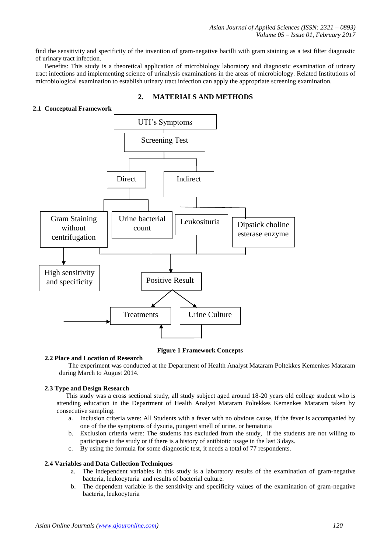find the sensitivity and specificity of the invention of gram-negative bacilli with gram staining as a test filter diagnostic of urinary tract infection.

Benefits: This study is a theoretical application of microbiology laboratory and diagnostic examination of urinary tract infections and implementing science of urinalysis examinations in the areas of microbiology. Related Institutions of microbiological examination to establish urinary tract infection can apply the appropriate screening examination.



## **2. MATERIALS AND METHODS**

### **Figure 1 Framework Concepts**

**2.2 Place and Location of Research**

The experiment was conducted at the Department of Health Analyst Mataram Poltekkes Kemenkes Mataram during March to August 2014.

#### **2.3 Type and Design Research**

This study was a cross sectional study, all study subject aged around 18-20 years old college student who is attending education in the Department of Health Analyst Mataram Poltekkes Kemenkes Mataram taken by consecutive sampling.

- a. Inclusion criteria were: All Students with a fever with no obvious cause, if the fever is accompanied by one of the the symptoms of dysuria, pungent smell of urine, or hematuria
- b. Exclusion criteria were: The students has excluded from the study, if the students are not willing to participate in the study or if there is a history of antibiotic usage in the last 3 days.
- c. By using the formula for some diagnostic test, it needs a total of 77 respondents.

#### **2.4 Variables and Data Collection Techniques**

- a. The independent variables in this study is a laboratory results of the examination of gram-negative bacteria, leukocyturia and results of bacterial culture.
- b. The dependent variable is the sensitivity and specificity values of the examination of gram-negative bacteria, leukocyturia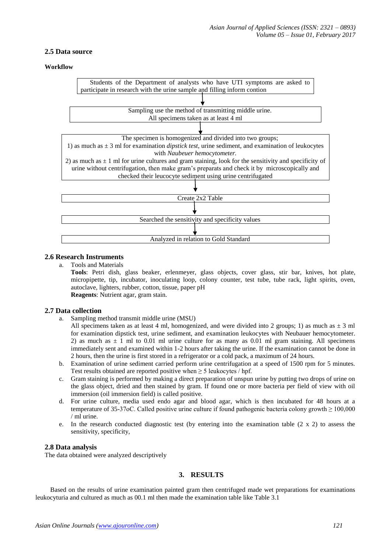## **2.5 Data source**

### **Workflow**



# **2.6 Research Instruments**

a. Tools and Materials

**Tools**: Petri dish, glass beaker, erlenmeyer, glass objects, cover glass, stir bar, knives, hot plate, micropipette, tip, incubator, inoculating loop, colony counter, test tube, tube rack, light spirits, oven, autoclave, lighters, rubber, cotton, tissue, paper pH **Reagents**: Nutrient agar, gram stain.

### **2.7 Data collection**

a. Sampling method transmit middle urine (MSU)

All specimens taken as at least 4 ml, homogenized, and were divided into 2 groups; 1) as much as  $\pm$  3 ml for examination dipstick test, urine sediment, and examination leukocytes with Neubauer hemocytometer. 2) as much as  $\pm$  1 ml to 0.01 ml urine culture for as many as 0.01 ml gram staining. All specimens immediately sent and examined within 1-2 hours after taking the urine. If the examination cannot be done in 2 hours, then the urine is first stored in a refrigerator or a cold pack, a maximum of 24 hours.

- b. Examination of urine sediment carried perform urine centrifugation at a speed of 1500 rpm for 5 minutes. Test results obtained are reported positive when  $\geq 5$  leukocytes / hpf.
- c. Gram staining is performed by making a direct preparation of unspun urine by putting two drops of urine on the glass object, dried and then stained by gram. If found one or more bacteria per field of view with oil immersion (oil immersion field) is called positive.
- d. For urine culture, media used endo agar and blood agar, which is then incubated for 48 hours at a temperature of 35-37oC. Called positive urine culture if found pathogenic bacteria colony growth ≥ 100,000 / ml urine.
- e. In the research conducted diagnostic test (by entering into the examination table  $(2 \times 2)$ ) to assess the sensitivity, specificity,

### **2.8 Data analysis**

The data obtained were analyzed descriptively

## **3. RESULTS**

 Based on the results of urine examination painted gram then centrifuged made wet preparations for examinations leukocyturia and cultured as much as 00.1 ml then made the examination table like Table 3.1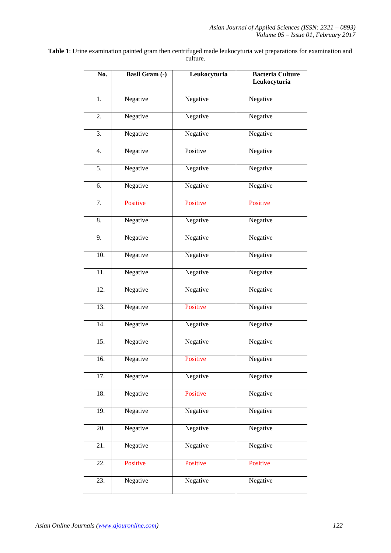**Table 1**: Urine examination painted gram then centrifuged made leukocyturia wet preparations for examination and culture.

| No.               | <b>Basil Gram (-)</b> | Leukocyturia | <b>Bacteria Culture</b><br>Leukocyturia |
|-------------------|-----------------------|--------------|-----------------------------------------|
| 1.                | Negative              | Negative     | Negative                                |
| 2.                | Negative              | Negative     | Negative                                |
| 3.                | Negative              | Negative     | Negative                                |
| 4.                | Negative              | Positive     | Negative                                |
| 5.                | Negative              | Negative     | Negative                                |
| 6.                | Negative              | Negative     | Negative                                |
| 7.                | Positive              | Positive     | Positive                                |
| 8.                | Negative              | Negative     | Negative                                |
| 9.                | Negative              | Negative     | Negative                                |
| $\overline{10}$ . | Negative              | Negative     | Negative                                |
| 11.               | Negative              | Negative     | Negative                                |
| $\overline{12}$ . | Negative              | Negative     | Negative                                |
| 13.               | Negative              | Positive     | Negative                                |
| 14.               | Negative              | Negative     | Negative                                |
| 15.               | Negative              | Negative     | Negative                                |
| 16.               | Negative              | Positive     | Negative                                |
| 17.               | Negative              | Negative     | Negative                                |
| 18.               | Negative              | Positive     | Negative                                |
| 19.               | Negative              | Negative     | Negative                                |
| 20.               | Negative              | Negative     | Negative                                |
| 21.               | Negative              | Negative     | Negative                                |
| 22.               | Positive              | Positive     | Positive                                |
| 23.               | Negative              | Negative     | Negative                                |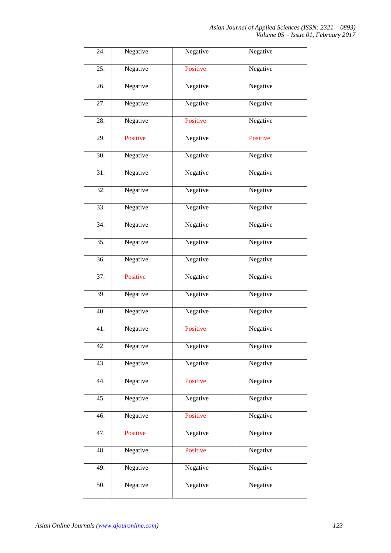| 24.               | Negative | Negative | Negative |
|-------------------|----------|----------|----------|
| 25.               | Negative | Positive | Negative |
| 26.               | Negative | Negative | Negative |
| 27.               | Negative | Negative | Negative |
| 28.               | Negative | Positive | Negative |
| 29.               | Positive | Negative | Positive |
| 30.               | Negative | Negative | Negative |
| 31.               | Negative | Negative | Negative |
| 32.               | Negative | Negative | Negative |
| 33.               | Negative | Negative | Negative |
| 34.               | Negative | Negative | Negative |
| $\overline{35}$ . | Negative | Negative | Negative |
| 36.               | Negative | Negative | Negative |
| 37.               | Positive | Negative | Negative |
| 39.               | Negative | Negative | Negative |
| 40.               | Negative | Negative | Negative |
| 41.               | Negative | Positive | Negative |
| 42.               | Negative | Negative | Negative |
| 43.               | Negative | Negative | Negative |
| 44.               | Negative | Positive | Negative |
| 45.               | Negative | Negative | Negative |
| 46.               | Negative | Positive | Negative |
| 47.               | Positive | Negative | Negative |
| 48.               | Negative | Positive | Negative |
| 49.               | Negative | Negative | Negative |
| 50.               | Negative | Negative | Negative |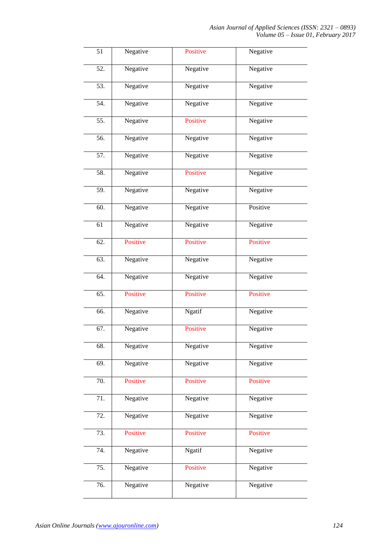| $\overline{51}$   | Negative | Positive | Negative |
|-------------------|----------|----------|----------|
| $\overline{52}$ . | Negative | Negative | Negative |
| 53.               | Negative | Negative | Negative |
| 54.               | Negative | Negative | Negative |
| 55.               | Negative | Positive | Negative |
| 56.               | Negative | Negative | Negative |
| 57.               | Negative | Negative | Negative |
| 58.               | Negative | Positive | Negative |
| 59.               | Negative | Negative | Negative |
| 60.               | Negative | Negative | Positive |
| $\overline{61}$   | Negative | Negative | Negative |
| $\overline{62}$ . | Positive | Positive | Positive |
| 63.               | Negative | Negative | Negative |
| 64.               | Negative | Negative | Negative |
| $\overline{65}$ . | Positive | Positive | Positive |
| 66.               | Negative | Ngatif   | Negative |
| 67.               | Negative | Positive | Negative |
| 68.               | Negative | Negative | Negative |
| 69.               | Negative | Negative | Negative |
| 70.               | Positive | Positive | Positive |
| 71.               | Negative | Negative | Negative |
| 72.               | Negative | Negative | Negative |
| 73.               | Positive | Positive | Positive |
| 74.               | Negative | Ngatif   | Negative |
| 75.               | Negative | Positive | Negative |
| 76.               | Negative | Negative | Negative |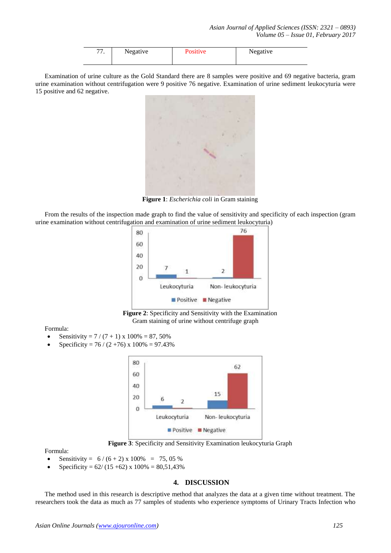| --<br>,,, | Negative | <b>Positive</b> | Negative |
|-----------|----------|-----------------|----------|
|           |          |                 |          |

Examination of urine culture as the Gold Standard there are 8 samples were positive and 69 negative bacteria, gram urine examination without centrifugation were 9 positive 76 negative. Examination of urine sediment leukocyturia were 15 positive and 62 negative.



**Figure 1**: *Escherichia coli* in Gram staining

From the results of the inspection made graph to find the value of sensitivity and specificity of each inspection (gram urine examination without centrifugation and examination of urine sediment leukocyturia)



**Figure 2**: Specificity and Sensitivity with the Examination Gram staining of urine without centrifuge graph

Formula:

- Sensitivity =  $7/(7 + 1)$  x  $100\% = 87,50\%$
- Specificity =  $76 / (2 + 76)$  x  $100\% = 97.43\%$



**Figure 3**: Specificity and Sensitivity Examination leukocyturia Graph

Formula:

- Sensitivity =  $6/(6+2) \times 100\% = 75,05\%$
- Specificity =  $62/(15 + 62)$  x  $100\% = 80,51,43\%$

### **4. DISCUSSION**

The method used in this research is descriptive method that analyzes the data at a given time without treatment. The researchers took the data as much as 77 samples of students who experience symptoms of Urinary Tracts Infection who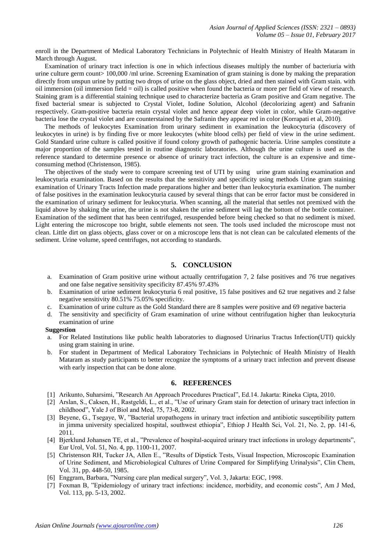enroll in the Department of Medical Laboratory Technicians in Polytechnic of Health Ministry of Health Mataram in March through August.

Examination of urinary tract infection is one in which infectious diseases multiply the number of bacteriuria with urine culture germ count> 100,000 /ml urine. Screening Examination of gram staining is done by making the preparation directly from unspun urine by putting two drops of urine on the glass object, dried and then stained with Gram stain. with oil immersion (oil immersion field = oil) is called positive when found the bacteria or more per field of view of research. Staining gram is a differential staining technique used to characterize bacteria as Gram positive and Gram negative. The fixed bacterial smear is subjected to Crystal Violet, Iodine Solution, Alcohol (decolorizing agent) and Safranin respectively. Gram-positive bacteria retain crystal violet and hence appear deep violet in color, while Gram-negative bacteria lose the crystal violet and are counterstained by the Safranin they appear red in color (Korrapati et al, 2010).

The methods of leukocytes Examination from urinary sediment in examination the leukocyturia (discovery of leukocytes in urine) is by finding five or more leukocytes (white blood cells) per field of view in the urine sediment. Gold Standard urine culture is called positive if found colony growth of pathogenic bacteria. Urine samples constitute a major proportion of the samples tested in routine diagnostic laboratories. Although the urine culture is used as the reference standard to determine presence or absence of urinary tract infection, the culture is an expensive and timeconsuming method (Christenson, 1985).

The objectives of the study were to compare screening test of UTI by using urine gram staining examination and leukocyturia examination. Based on the results that the sensitivity and specificity using methods Urine gram staining examination of Urinary Tracts Infection made preparations higher and better than leukocyturia examination. The number of false positives in the examination leukocyturia caused by several things that can be error factor must be considered in the examination of urinary sediment for leukocyturia. When scanning, all the material that settles not premixed with the liquid above by shaking the urine, the urine is not shaken the urine sediment will lag the bottom of the bottle container. Examination of the sediment that has been centrifuged, resuspended before being checked so that no sediment is mixed. Light entering the microscope too bright, subtle elements not seen. The tools used included the microscope must not clean. Little dirt on glass objects, glass cover or on a microscope lens that is not clean can be calculated elements of the sediment. Urine volume, speed centrifuges, not according to standards.

## **5. CONCLUSION**

- a. Examination of Gram positive urine without actually centrifugation 7, 2 false positives and 76 true negatives and one false negative sensitivity specificity 87.45% 97.43%
- b. Examination of urine sediment leukocyturia 6 real positive, 15 false positives and 62 true negatives and 2 false negative sensitivity 80.51% 75.05% specificity.
- c. Examination of urine culture as the Gold Standard there are 8 samples were positive and 69 negative bacteria
- d. The sensitivity and specificity of Gram examination of urine without centrifugation higher than leukocyturia examination of urine

#### **Suggestion**

- a. For Related Institutions like public health laboratories to diagnosed Urinarius Tractus Infection(UTI) quickly using gram staining in urine.
- b. For student in Department of Medical Laboratory Technicians in Polytechnic of Health Ministry of Health Mataram as study participants to better recognize the symptoms of a urinary tract infection and prevent disease with early inspection that can be done alone.

#### **6. REFERENCES**

- [1] Arikunto, Suharsimi, "Research An Approach Procedures Practical", Ed.14. Jakarta: Rineka Cipta, 2010.
- [2] Arslan, S., Caksen, H., Rastgeldi, L., et al., "Use of urinary Gram stain for detection of urinary tract infection in childhood", Yale J of Biol and Med, 75, 73-8, 2002.
- [3] Beyene, G., Tsegaye, W, "Bacterial uropathogens in urinary tract infection and antibiotic susceptibility pattern in jimma university specialized hospital, southwest ethiopia", Ethiop J Health Sci, Vol. 21, No. 2, pp. 141-6, 2011.
- [4] Bjerklund Johansen TE, et al., "Prevalence of hospital-acquired urinary tract infections in urology departments", Eur Urol, Vol. 51, No. 4, pp. 1100-11, 2007.
- [5] Christenson RH, Tucker JA, Allen E., "Results of Dipstick Tests, Visual Inspection, Microscopic Examination of Urine Sediment, and Microbiological Cultures of Urine Compared for Simplifying Urinalysis", Clin Chem, Vol. 31, pp. 448-50, 1985.
- [6] Enggram, Barbara, "Nursing care plan medical surgery", Vol. 3, Jakarta: EGC, 1998.
- [7] Foxman B, "Epidemiology of urinary tract infections: incidence, morbidity, and economic costs", Am J Med, Vol. 113, pp. 5-13, 2002.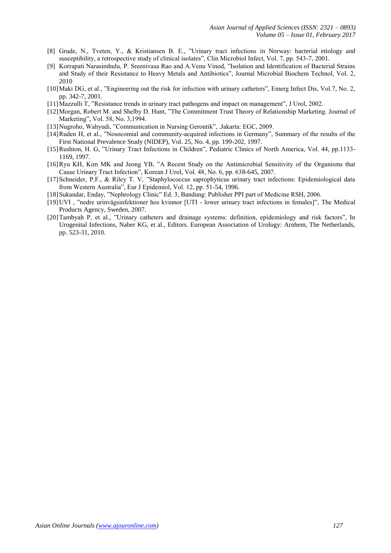- [8] Grude, N., Tveten, Y., & Kristiansen B. E., "Urinary tract infections in Norway: bacterial etiology and susceptibility, a retrospective study of clinical isolates", Clin Microbiol Infect, Vol. 7, pp. 543-7, 2001.
- [9] Korrapati Narasimhulu, P. Sreenivasa Rao and A.Venu Vinod, "Isolation and Identification of Bacterial Strains and Study of their Resistance to Heavy Metals and Antibiotics", Journal Microbial Biochem Technol, Vol. 2, 2010
- [10]Maki DG, et al., "Engineering out the risk for infection with urinary catheters", Emerg Infect Dis, Vol.7, No. 2, pp. 342-7, 2001.
- [11]Mazzulli T, "Resistance trends in urinary tract pathogens and impact on management", J Urol, 2002.
- [12]Morgan, Robert M. and Shelby D. Hunt, "The Commitment Trust Theory of Relationship Marketing. Journal of Marketing", Vol. 58, No. 3,1994.
- [13]Nugroho, Wahyudi, "Communication in Nursing Gerontik", .Jakarta: EGC, 2009.
- [14]Ruden H, et al., "Nosocomial and community-acquired infections in Germany", Summary of the results of the First National Prevalence Study (NIDEP), Vol. 25, No. 4, pp. 199-202, 1997.
- [15]Rushton, H. G, "Urinary Tract Infections in Children", Pediatric Clinics of North America, Vol. 44, pp.1133- 1169, 1997.
- [16]Ryu KH, Kim MK and Jeong YB, "A Recent Study on the Antimicrobial Sensitivity of the Organisms that Cause Urinary Tract Infection", Korean J Urol, Vol. 48, No. 6, pp. 638-645, 2007.
- [17]Schneider, P.F., & Riley T. V, "Staphylococcus saprophyticus urinary tract infections: Epidemiological data from Western Australia", Eur J Epidemiol, Vol. 12, pp. 51-54, 1996.
- [18]Sukandar, Enday, "Nephrology Clinic" Ed. 3, Bandung: Publisher PPI part of Medicine RSH, 2006.
- [19]UVI , "nedre urinvägsinfektioner hos kvinnor [UTI lower urinary tract infections in females]", The Medical Products Agency, Sweden, 2007.
- [20]Tambyah P, et al., "Urinary catheters and drainage systems: definition, epidemiology and risk factors", In Urogenital Infections, Naber KG, et al., Editors. European Association of Urology: Arnhem, The Netherlands, pp. 523-31, 2010.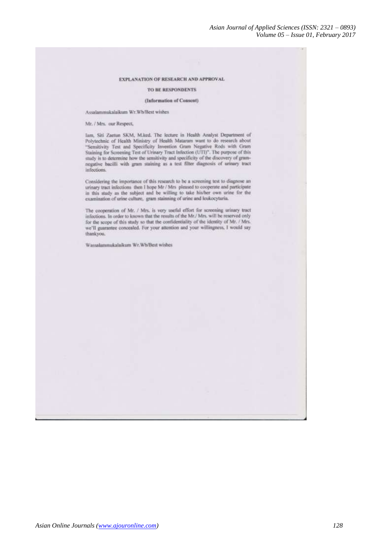#### EXPLANATION OF RESEARCH AND APPROVAL

#### TO BE RESPONDENTS

#### (Information of Consent)

Assalammukalaikum Wr.Wh/Best wishes

Mr. / Mrs. our Respect,

lam, Siti Zaetun SKM, M.ked. The lecture in Health Analyst Department of Polytechnic of Health Ministry of Health Mataram want to do research about "Sensitivity Test and Specificity Invention Gram Negative Rods with Gram Staining for Screening Test of Urinary Tract Infection (UTI)". The purpose of this study is to determine how the sensitivity and specificity of the discovery of gramnegative bacilli with gram staining as a test filter diagnosis of urinary tract infections.

Considering the importance of this research to be a screening test to diagnose an urinary tract infections then I hope Mr / Mrs pleased to cooperate and participate in this study as the subject and be willing to take his/her own urine for the examination of urine culture, gram stainning of urine and leukocyturia.

The cooperation of Mr.  $/$  Mrs. is very useful effort for screening urinary tract infections. In order to known that the results of the Mr./ Mrs. will be reserved only for the scope of this study so that the confidentiality of the identity of Mr. / Mrs. we'll guarantee concealed. For your attention and your willingness, I would say thankyou.

Wassalammukalaikum Wr.Wb/Best wishes